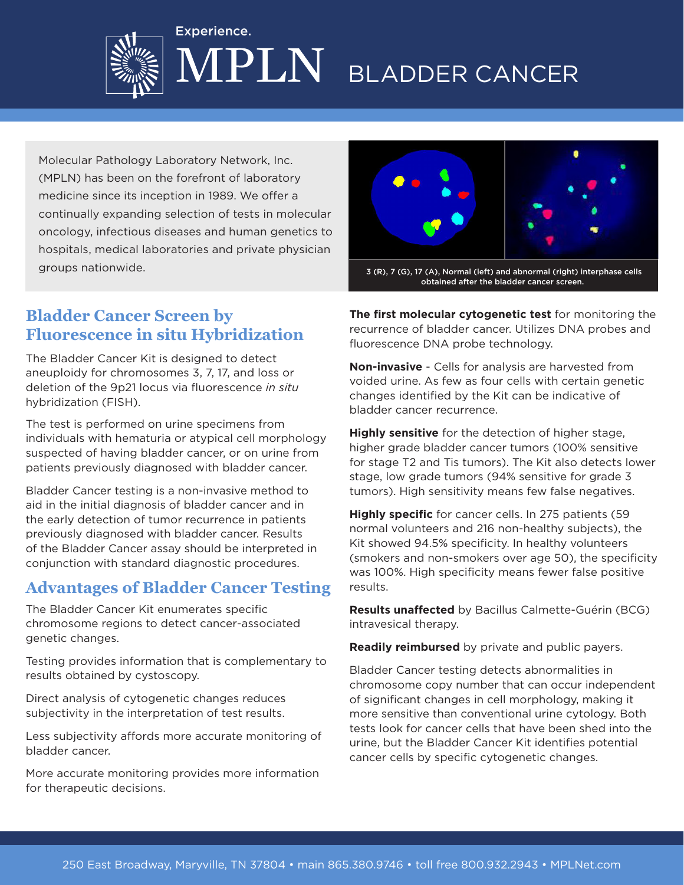

# BLADDER CANCER

Molecular Pathology Laboratory Network, Inc. (MPLN) has been on the forefront of laboratory medicine since its inception in 1989. We offer a continually expanding selection of tests in molecular oncology, infectious diseases and human genetics to hospitals, medical laboratories and private physician groups nationwide.

Experience.



## **Bladder Cancer Screen by Fluorescence in situ Hybridization**

The Bladder Cancer Kit is designed to detect aneuploidy for chromosomes 3, 7, 17, and loss or deletion of the 9p21 locus via fluorescence *in situ* hybridization (FISH).

The test is performed on urine specimens from individuals with hematuria or atypical cell morphology suspected of having bladder cancer, or on urine from patients previously diagnosed with bladder cancer.

Bladder Cancer testing is a non-invasive method to aid in the initial diagnosis of bladder cancer and in the early detection of tumor recurrence in patients previously diagnosed with bladder cancer. Results of the Bladder Cancer assay should be interpreted in conjunction with standard diagnostic procedures.

## **Advantages of Bladder Cancer Testing**

The Bladder Cancer Kit enumerates specific chromosome regions to detect cancer-associated genetic changes.

Testing provides information that is complementary to results obtained by cystoscopy.

Direct analysis of cytogenetic changes reduces subjectivity in the interpretation of test results.

Less subjectivity affords more accurate monitoring of bladder cancer.

More accurate monitoring provides more information for therapeutic decisions.

**The first molecular cytogenetic test** for monitoring the recurrence of bladder cancer. Utilizes DNA probes and fluorescence DNA probe technology.

**Non-invasive** - Cells for analysis are harvested from voided urine. As few as four cells with certain genetic changes identified by the Kit can be indicative of bladder cancer recurrence.

**Highly sensitive** for the detection of higher stage, higher grade bladder cancer tumors (100% sensitive for stage T2 and Tis tumors). The Kit also detects lower stage, low grade tumors (94% sensitive for grade 3 tumors). High sensitivity means few false negatives.

**Highly specific** for cancer cells. In 275 patients (59 normal volunteers and 216 non-healthy subjects), the Kit showed 94.5% specificity. In healthy volunteers (smokers and non-smokers over age 50), the specificity was 100%. High specificity means fewer false positive results.

**Results unaffected** by Bacillus Calmette-Guérin (BCG) intravesical therapy.

**Readily reimbursed** by private and public payers.

Bladder Cancer testing detects abnormalities in chromosome copy number that can occur independent of significant changes in cell morphology, making it more sensitive than conventional urine cytology. Both tests look for cancer cells that have been shed into the urine, but the Bladder Cancer Kit identifies potential cancer cells by specific cytogenetic changes.